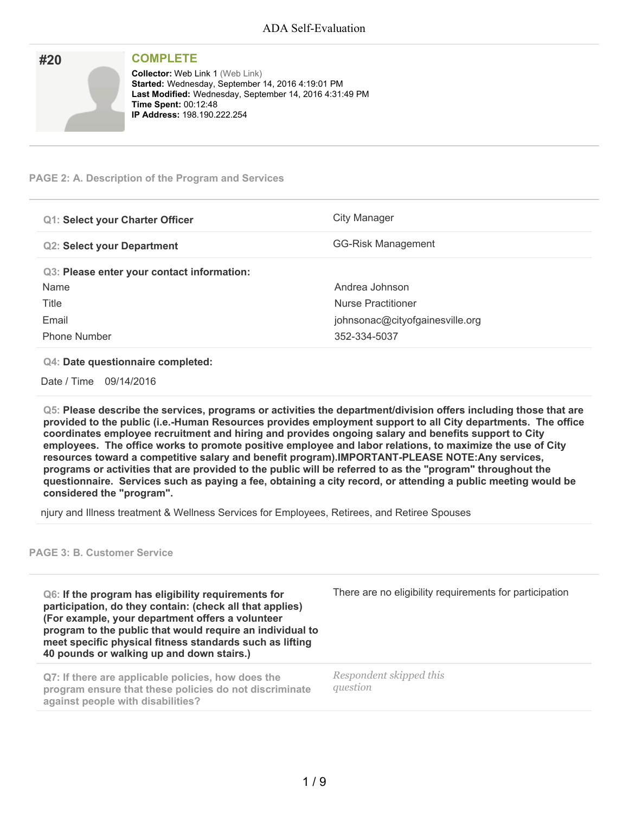| #20 | <b>COMPLETE</b>                                                                                                                                                                                                              |
|-----|------------------------------------------------------------------------------------------------------------------------------------------------------------------------------------------------------------------------------|
|     | <b>Collector: Web Link 1 (Web Link)</b><br>Started: Wednesday, September 14, 2016 4:19:01 PM<br>Last Modified: Wednesday, September 14, 2016 4:31:49 PM<br><b>Time Spent: 00:12:48</b><br><b>IP Address: 198.190.222.254</b> |

### **PAGE 2: A. Description of the Program and Services**

| <b>Q1: Select your Charter Officer</b>     | City Manager                    |
|--------------------------------------------|---------------------------------|
| <b>Q2: Select your Department</b>          | GG-Risk Management              |
| Q3: Please enter your contact information: |                                 |
| Name                                       | Andrea Johnson                  |
| Title                                      | Nurse Practitioner              |
| Email                                      | johnsonac@cityofgainesville.org |
| <b>Phone Number</b>                        | 352-334-5037                    |

#### **Q4: Date questionnaire completed:**

Date / Time 09/14/2016

**Q5: Please describe the services, programs or activities the department/division offers including those that are provided to the public (i.e.-Human Resources provides employment support to all City departments. The office coordinates employee recruitment and hiring and provides ongoing salary and benefits support to City employees. The office works to promote positive employee and labor relations, to maximize the use of City resources toward a competitive salary and benefit program).IMPORTANT-PLEASE NOTE:Any services,** programs or activities that are provided to the public will be referred to as the "program" throughout the questionnaire. Services such as paying a fee, obtaining a city record, or attending a public meeting would be **considered the "program".**

njury and Illness treatment & Wellness Services for Employees, Retirees, and Retiree Spouses

### **PAGE 3: B. Customer Service**

**Q6: If the program has eligibility requirements for participation, do they contain: (check all that applies) (For example, your department offers a volunteer program to the public that would require an individual to meet specific physical fitness standards such as lifting 40 pounds or walking up and down stairs.)**

**Q7: If there are applicable policies, how does the program ensure that these policies do not discriminate against people with disabilities?**

There are no eligibility requirements for participation

*Respondent skipped this question*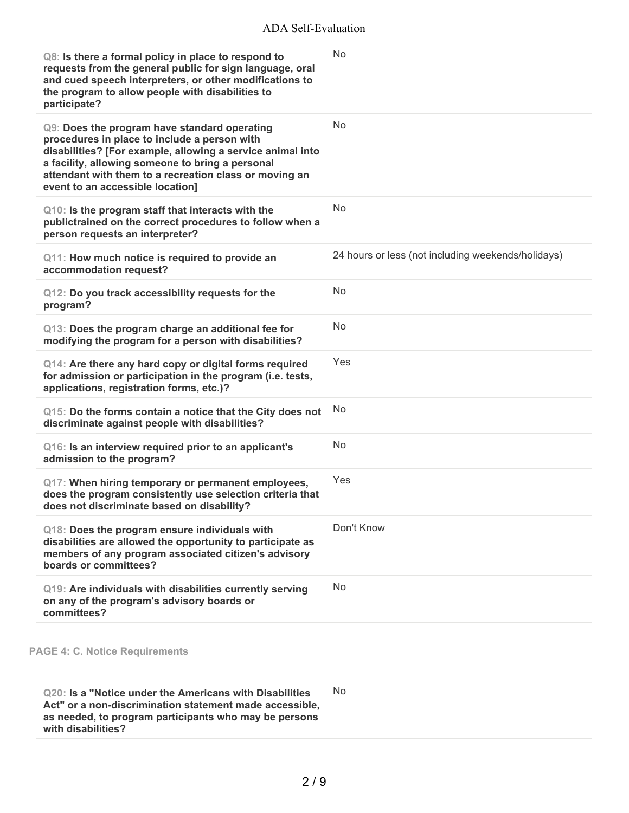| Q8: Is there a formal policy in place to respond to<br>requests from the general public for sign language, oral<br>and cued speech interpreters, or other modifications to<br>the program to allow people with disabilities to<br>participate?                                                               | <b>No</b>                                          |
|--------------------------------------------------------------------------------------------------------------------------------------------------------------------------------------------------------------------------------------------------------------------------------------------------------------|----------------------------------------------------|
| Q9: Does the program have standard operating<br>procedures in place to include a person with<br>disabilities? [For example, allowing a service animal into<br>a facility, allowing someone to bring a personal<br>attendant with them to a recreation class or moving an<br>event to an accessible location] | No                                                 |
| Q10: Is the program staff that interacts with the<br>publictrained on the correct procedures to follow when a<br>person requests an interpreter?                                                                                                                                                             | No                                                 |
| Q11: How much notice is required to provide an<br>accommodation request?                                                                                                                                                                                                                                     | 24 hours or less (not including weekends/holidays) |
| Q12: Do you track accessibility requests for the<br>program?                                                                                                                                                                                                                                                 | No                                                 |
| Q13: Does the program charge an additional fee for<br>modifying the program for a person with disabilities?                                                                                                                                                                                                  | No                                                 |
| Q14: Are there any hard copy or digital forms required<br>for admission or participation in the program (i.e. tests,<br>applications, registration forms, etc.)?                                                                                                                                             | Yes                                                |
| Q15: Do the forms contain a notice that the City does not<br>discriminate against people with disabilities?                                                                                                                                                                                                  | No                                                 |
| Q16: Is an interview required prior to an applicant's<br>admission to the program?                                                                                                                                                                                                                           | No                                                 |
| Q17: When hiring temporary or permanent employees,<br>does the program consistently use selection criteria that<br>does not discriminate based on disability?                                                                                                                                                | Yes                                                |
| Q18: Does the program ensure individuals with<br>disabilities are allowed the opportunity to participate as<br>members of any program associated citizen's advisory<br>boards or committees?                                                                                                                 | Don't Know                                         |
| Q19: Are individuals with disabilities currently serving<br>on any of the program's advisory boards or<br>committees?                                                                                                                                                                                        | No                                                 |
|                                                                                                                                                                                                                                                                                                              |                                                    |

**PAGE 4: C. Notice Requirements**

**Q20: Is a "Notice under the Americans with Disabilities Act" or a non-discrimination statement made accessible, as needed, to program participants who may be persons with disabilities?** No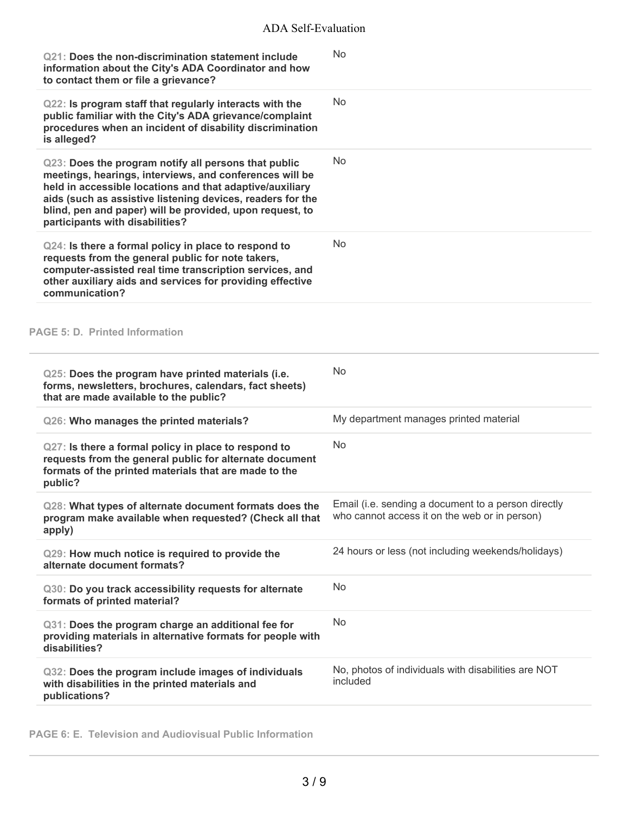| Q21: Does the non-discrimination statement include<br>information about the City's ADA Coordinator and how<br>to contact them or file a grievance?                                                                                                                                                                                       | No                                                                                                   |
|------------------------------------------------------------------------------------------------------------------------------------------------------------------------------------------------------------------------------------------------------------------------------------------------------------------------------------------|------------------------------------------------------------------------------------------------------|
| Q22: Is program staff that regularly interacts with the<br>public familiar with the City's ADA grievance/complaint<br>procedures when an incident of disability discrimination<br>is alleged?                                                                                                                                            | <b>No</b>                                                                                            |
| Q23: Does the program notify all persons that public<br>meetings, hearings, interviews, and conferences will be<br>held in accessible locations and that adaptive/auxiliary<br>aids (such as assistive listening devices, readers for the<br>blind, pen and paper) will be provided, upon request, to<br>participants with disabilities? | <b>No</b>                                                                                            |
| Q24: Is there a formal policy in place to respond to<br>requests from the general public for note takers,<br>computer-assisted real time transcription services, and<br>other auxiliary aids and services for providing effective<br>communication?                                                                                      | <b>No</b>                                                                                            |
| <b>PAGE 5: D. Printed Information</b>                                                                                                                                                                                                                                                                                                    |                                                                                                      |
| Q25: Does the program have printed materials (i.e.<br>forms, newsletters, brochures, calendars, fact sheets)<br>that are made available to the public?                                                                                                                                                                                   | <b>No</b>                                                                                            |
| Q26: Who manages the printed materials?                                                                                                                                                                                                                                                                                                  | My department manages printed material                                                               |
| Q27: Is there a formal policy in place to respond to<br>requests from the general public for alternate document<br>formats of the printed materials that are made to the<br>public?                                                                                                                                                      | No.                                                                                                  |
| Q28: What types of alternate document formats does the<br>program make available when requested? (Check all that<br>apply)                                                                                                                                                                                                               | Email (i.e. sending a document to a person directly<br>who cannot access it on the web or in person) |
| Q29: How much notice is required to provide the<br>alternate document formats?                                                                                                                                                                                                                                                           | 24 hours or less (not including weekends/holidays)                                                   |
| Q30: Do you track accessibility requests for alternate<br>formats of printed material?                                                                                                                                                                                                                                                   | N <sub>o</sub>                                                                                       |
| Q31: Does the program charge an additional fee for<br>providing materials in alternative formats for people with<br>disabilities?                                                                                                                                                                                                        | <b>No</b>                                                                                            |
| Q32: Does the program include images of individuals<br>with disabilities in the printed materials and<br>publications?                                                                                                                                                                                                                   | No, photos of individuals with disabilities are NOT<br>included                                      |

**PAGE 6: E. Television and Audiovisual Public Information**

÷,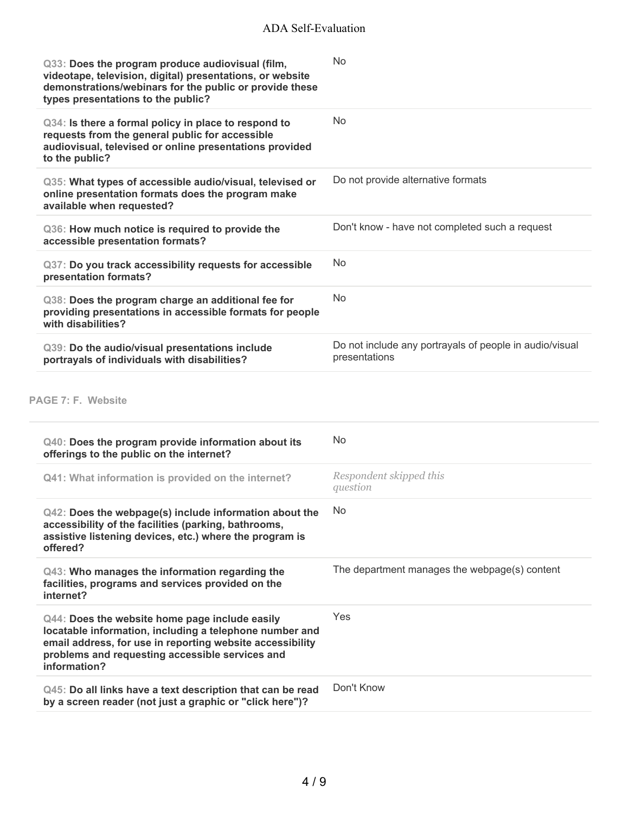| Q33: Does the program produce audiovisual (film,<br>videotape, television, digital) presentations, or website<br>demonstrations/webinars for the public or provide these<br>types presentations to the public? | No                                                                       |
|----------------------------------------------------------------------------------------------------------------------------------------------------------------------------------------------------------------|--------------------------------------------------------------------------|
| Q34: Is there a formal policy in place to respond to<br>requests from the general public for accessible<br>audiovisual, televised or online presentations provided<br>to the public?                           | No                                                                       |
| Q35: What types of accessible audio/visual, televised or<br>online presentation formats does the program make<br>available when requested?                                                                     | Do not provide alternative formats                                       |
| Q36: How much notice is required to provide the<br>accessible presentation formats?                                                                                                                            | Don't know - have not completed such a request                           |
| Q37: Do you track accessibility requests for accessible<br>presentation formats?                                                                                                                               | No                                                                       |
| Q38: Does the program charge an additional fee for<br>providing presentations in accessible formats for people<br>with disabilities?                                                                           | No                                                                       |
| Q39: Do the audio/visual presentations include<br>portrayals of individuals with disabilities?                                                                                                                 | Do not include any portrayals of people in audio/visual<br>presentations |

# **PAGE 7: F. Website**

| Q40: Does the program provide information about its<br>offerings to the public on the internet?                                                                                                                                           | <b>No</b>                                     |
|-------------------------------------------------------------------------------------------------------------------------------------------------------------------------------------------------------------------------------------------|-----------------------------------------------|
| Q41: What information is provided on the internet?                                                                                                                                                                                        | Respondent skipped this<br>question           |
| $Q42$ : Does the webpage(s) include information about the<br>accessibility of the facilities (parking, bathrooms,<br>assistive listening devices, etc.) where the program is<br>offered?                                                  | No.                                           |
| Q43: Who manages the information regarding the<br>facilities, programs and services provided on the<br>internet?                                                                                                                          | The department manages the webpage(s) content |
| Q44: Does the website home page include easily<br>locatable information, including a telephone number and<br>email address, for use in reporting website accessibility<br>problems and requesting accessible services and<br>information? | Yes                                           |
| Q45: Do all links have a text description that can be read<br>by a screen reader (not just a graphic or "click here")?                                                                                                                    | Don't Know                                    |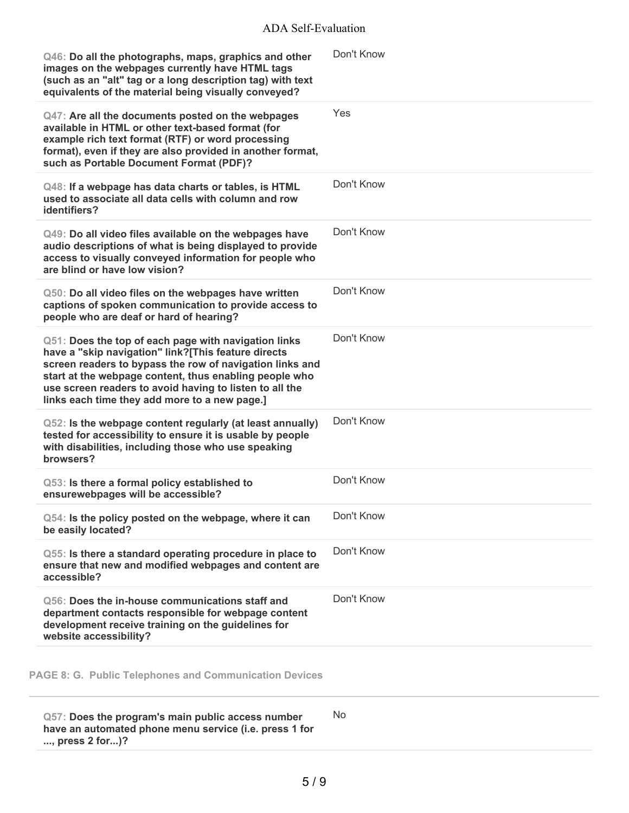| Q46: Do all the photographs, maps, graphics and other<br>images on the webpages currently have HTML tags<br>(such as an "alt" tag or a long description tag) with text<br>equivalents of the material being visually conveyed?                                                                                                                | Don't Know |
|-----------------------------------------------------------------------------------------------------------------------------------------------------------------------------------------------------------------------------------------------------------------------------------------------------------------------------------------------|------------|
| Q47: Are all the documents posted on the webpages<br>available in HTML or other text-based format (for<br>example rich text format (RTF) or word processing<br>format), even if they are also provided in another format,<br>such as Portable Document Format (PDF)?                                                                          | Yes        |
| Q48: If a webpage has data charts or tables, is HTML<br>used to associate all data cells with column and row<br>identifiers?                                                                                                                                                                                                                  | Don't Know |
| Q49: Do all video files available on the webpages have<br>audio descriptions of what is being displayed to provide<br>access to visually conveyed information for people who<br>are blind or have low vision?                                                                                                                                 | Don't Know |
| Q50: Do all video files on the webpages have written<br>captions of spoken communication to provide access to<br>people who are deaf or hard of hearing?                                                                                                                                                                                      | Don't Know |
| Q51: Does the top of each page with navigation links<br>have a "skip navigation" link?[This feature directs<br>screen readers to bypass the row of navigation links and<br>start at the webpage content, thus enabling people who<br>use screen readers to avoid having to listen to all the<br>links each time they add more to a new page.] | Don't Know |
| Q52: Is the webpage content regularly (at least annually)<br>tested for accessibility to ensure it is usable by people<br>with disabilities, including those who use speaking<br>browsers?                                                                                                                                                    | Don't Know |
| Q53: Is there a formal policy established to<br>ensurewebpages will be accessible?                                                                                                                                                                                                                                                            | Don't Know |
| Q54: Is the policy posted on the webpage, where it can<br>be easily located?                                                                                                                                                                                                                                                                  | Don't Know |
| Q55: Is there a standard operating procedure in place to<br>ensure that new and modified webpages and content are<br>accessible?                                                                                                                                                                                                              | Don't Know |
| Q56: Does the in-house communications staff and<br>department contacts responsible for webpage content<br>development receive training on the guidelines for<br>website accessibility?                                                                                                                                                        | Don't Know |
|                                                                                                                                                                                                                                                                                                                                               |            |

**PAGE 8: G. Public Telephones and Communication Devices**

**Q57: Does the program's main public access number have an automated phone menu service (i.e. press 1 for ..., press 2 for...)?** No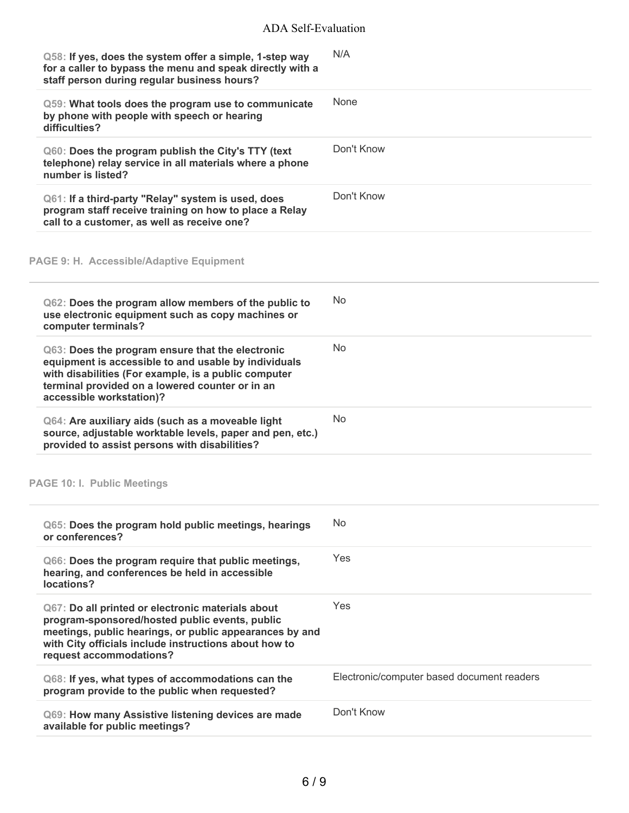| Q58: If yes, does the system offer a simple, 1-step way<br>for a caller to bypass the menu and speak directly with a<br>staff person during regular business hours?                                                                                | N/A                                        |
|----------------------------------------------------------------------------------------------------------------------------------------------------------------------------------------------------------------------------------------------------|--------------------------------------------|
| Q59: What tools does the program use to communicate<br>by phone with people with speech or hearing<br>difficulties?                                                                                                                                | None                                       |
| Q60: Does the program publish the City's TTY (text<br>telephone) relay service in all materials where a phone<br>number is listed?                                                                                                                 | Don't Know                                 |
| Q61: If a third-party "Relay" system is used, does<br>program staff receive training on how to place a Relay<br>call to a customer, as well as receive one?                                                                                        | Don't Know                                 |
| PAGE 9: H. Accessible/Adaptive Equipment                                                                                                                                                                                                           |                                            |
| Q62: Does the program allow members of the public to<br>use electronic equipment such as copy machines or<br>computer terminals?                                                                                                                   | <b>No</b>                                  |
| Q63: Does the program ensure that the electronic<br>equipment is accessible to and usable by individuals<br>with disabilities (For example, is a public computer<br>terminal provided on a lowered counter or in an<br>accessible workstation)?    | <b>No</b>                                  |
| Q64: Are auxiliary aids (such as a moveable light<br>source, adjustable worktable levels, paper and pen, etc.)<br>provided to assist persons with disabilities?                                                                                    | <b>No</b>                                  |
| <b>PAGE 10: I. Public Meetings</b>                                                                                                                                                                                                                 |                                            |
| Q65: Does the program hold public meetings, hearings<br>or conferences?                                                                                                                                                                            | No                                         |
| Q66: Does the program require that public meetings,<br>hearing, and conferences be held in accessible<br>locations?                                                                                                                                | Yes                                        |
| Q67: Do all printed or electronic materials about<br>program-sponsored/hosted public events, public<br>meetings, public hearings, or public appearances by and<br>with City officials include instructions about how to<br>request accommodations? | Yes.                                       |
| Q68: If yes, what types of accommodations can the<br>program provide to the public when requested?                                                                                                                                                 | Electronic/computer based document readers |
| Q69: How many Assistive listening devices are made<br>available for public meetings?                                                                                                                                                               | Don't Know                                 |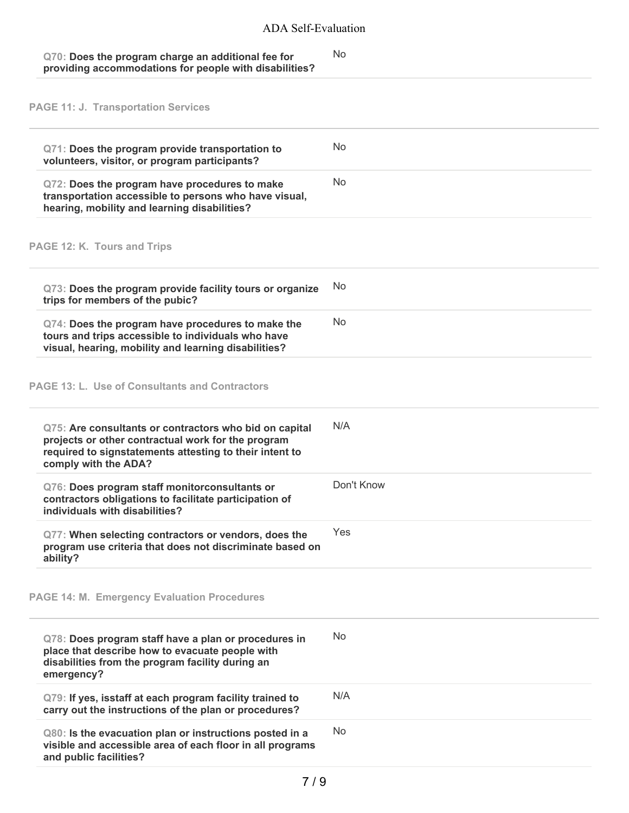| Q70: Does the program charge an additional fee for     | No. |
|--------------------------------------------------------|-----|
| providing accommodations for people with disabilities? |     |

**PAGE 11: J. Transportation Services**

| Q71: Does the program provide transportation to<br>volunteers, visitor, or program participants?                                                                                                | N <sub>0</sub> |
|-------------------------------------------------------------------------------------------------------------------------------------------------------------------------------------------------|----------------|
| Q72: Does the program have procedures to make<br>transportation accessible to persons who have visual,<br>hearing, mobility and learning disabilities?                                          | No.            |
| PAGE 12: K. Tours and Trips                                                                                                                                                                     |                |
| Q73: Does the program provide facility tours or organize<br>trips for members of the pubic?                                                                                                     | No             |
| Q74: Does the program have procedures to make the<br>tours and trips accessible to individuals who have<br>visual, hearing, mobility and learning disabilities?                                 | <b>No</b>      |
| <b>PAGE 13: L. Use of Consultants and Contractors</b>                                                                                                                                           |                |
| Q75: Are consultants or contractors who bid on capital<br>projects or other contractual work for the program<br>required to signstatements attesting to their intent to<br>comply with the ADA? | N/A            |
| Q76: Does program staff monitorconsultants or<br>contractors obligations to facilitate participation of<br>individuals with disabilities?                                                       | Don't Know     |
| Q77: When selecting contractors or vendors, does the<br>program use criteria that does not discriminate based on<br>ability?                                                                    | Yes            |
| <b>PAGE 14: M. Emergency Evaluation Procedures</b>                                                                                                                                              |                |
| Q78: Does program staff have a plan or procedures in<br>place that describe how to evacuate people with<br>disabilities from the program facility during an<br>emergency?                       | N <sub>0</sub> |
| Q79: If yes, isstaff at each program facility trained to<br>carry out the instructions of the plan or procedures?                                                                               | N/A            |
| Q80: Is the evacuation plan or instructions posted in a<br>visible and accessible area of each floor in all programs<br>and public facilities?                                                  | <b>No</b>      |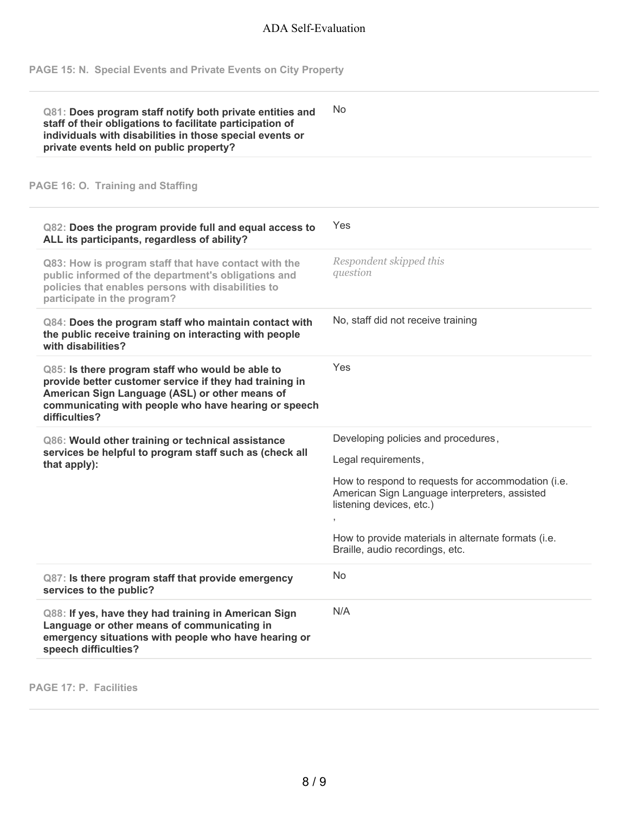**PAGE 15: N. Special Events and Private Events on City Property**

| Q81: Does program staff notify both private entities and<br>staff of their obligations to facilitate participation of<br>individuals with disabilities in those special events or<br>private events held on public property?           | No                                                                                                                              |
|----------------------------------------------------------------------------------------------------------------------------------------------------------------------------------------------------------------------------------------|---------------------------------------------------------------------------------------------------------------------------------|
| PAGE 16: O. Training and Staffing                                                                                                                                                                                                      |                                                                                                                                 |
| Q82: Does the program provide full and equal access to<br>ALL its participants, regardless of ability?                                                                                                                                 | Yes                                                                                                                             |
| Q83: How is program staff that have contact with the<br>public informed of the department's obligations and<br>policies that enables persons with disabilities to<br>participate in the program?                                       | Respondent skipped this<br>question                                                                                             |
| Q84: Does the program staff who maintain contact with<br>the public receive training on interacting with people<br>with disabilities?                                                                                                  | No, staff did not receive training                                                                                              |
| Q85: Is there program staff who would be able to<br>provide better customer service if they had training in<br>American Sign Language (ASL) or other means of<br>communicating with people who have hearing or speech<br>difficulties? | Yes                                                                                                                             |
| Q86: Would other training or technical assistance<br>services be helpful to program staff such as (check all<br>that apply):                                                                                                           | Developing policies and procedures,<br>Legal requirements,                                                                      |
|                                                                                                                                                                                                                                        | How to respond to requests for accommodation (i.e.<br>American Sign Language interpreters, assisted<br>listening devices, etc.) |
|                                                                                                                                                                                                                                        | How to provide materials in alternate formats (i.e.<br>Braille, audio recordings, etc.                                          |
| Q87: Is there program staff that provide emergency<br>services to the public?                                                                                                                                                          | <b>No</b>                                                                                                                       |
| Q88: If yes, have they had training in American Sign<br>Language or other means of communicating in<br>emergency situations with people who have hearing or<br>speech difficulties?                                                    | N/A                                                                                                                             |

**PAGE 17: P. Facilities**